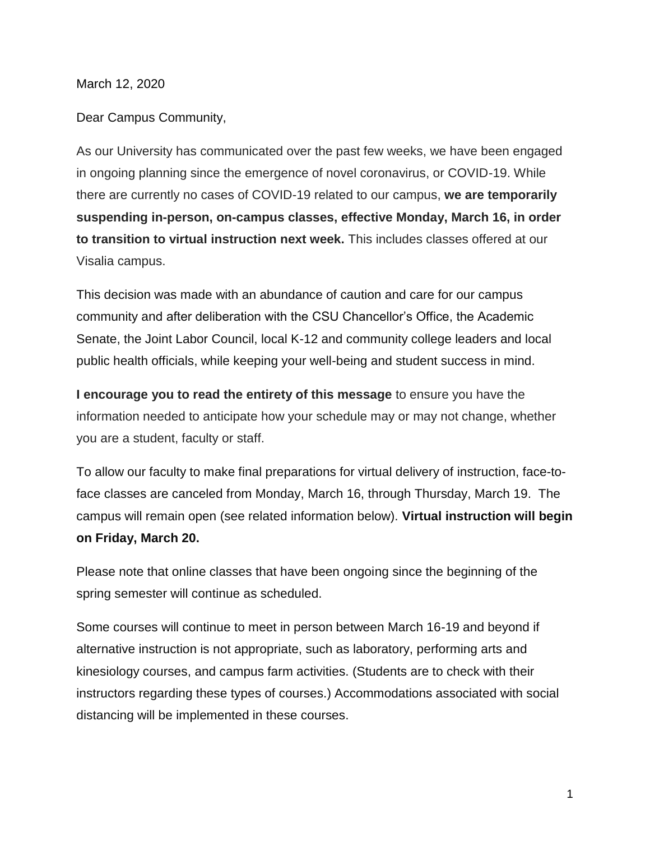March 12, 2020

Dear Campus Community,

As our University has communicated over the past few weeks, we have been engaged in ongoing planning since the emergence of novel coronavirus, or COVID-19. While there are currently no cases of COVID-19 related to our campus, **we are temporarily suspending in-person, on-campus classes, effective Monday, March 16, in order to transition to virtual instruction next week.** This includes classes offered at our Visalia campus.

This decision was made with an abundance of caution and care for our campus community and after deliberation with the CSU Chancellor's Office, the Academic Senate, the Joint Labor Council, local K-12 and community college leaders and local public health officials, while keeping your well-being and student success in mind.

**I encourage you to read the entirety of this message** to ensure you have the information needed to anticipate how your schedule may or may not change, whether you are a student, faculty or staff.

To allow our faculty to make final preparations for virtual delivery of instruction, face-toface classes are canceled from Monday, March 16, through Thursday, March 19. The campus will remain open (see related information below). **Virtual instruction will begin on Friday, March 20.**

Please note that online classes that have been ongoing since the beginning of the spring semester will continue as scheduled.

Some courses will continue to meet in person between March 16-19 and beyond if alternative instruction is not appropriate, such as laboratory, performing arts and kinesiology courses, and campus farm activities. (Students are to check with their instructors regarding these types of courses.) Accommodations associated with social distancing will be implemented in these courses.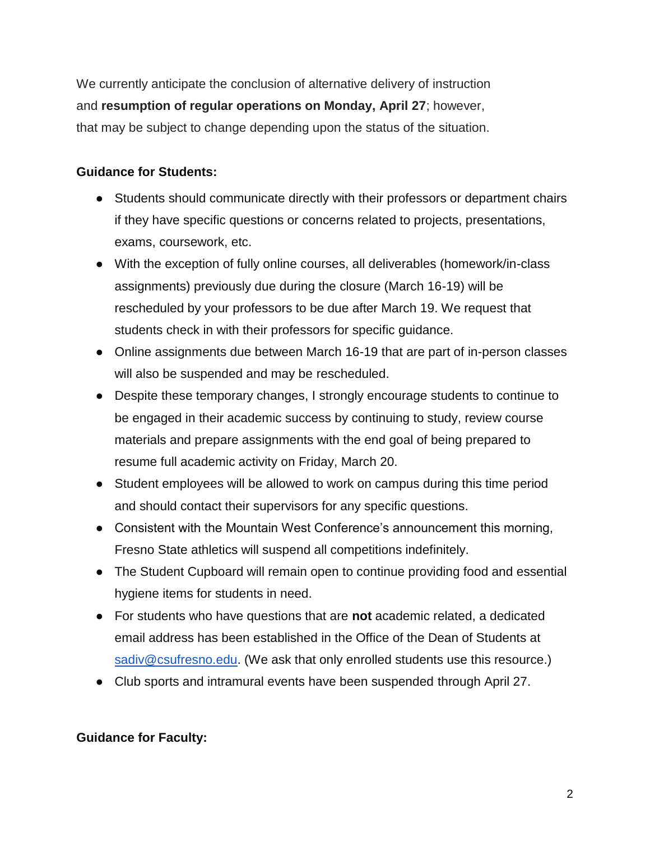We currently anticipate the conclusion of alternative delivery of instruction and **resumption of regular operations on Monday, April 27**; however, that may be subject to change depending upon the status of the situation.

## **Guidance for Students:**

- Students should communicate directly with their professors or department chairs if they have specific questions or concerns related to projects, presentations, exams, coursework, etc.
- With the exception of fully online courses, all deliverables (homework/in-class assignments) previously due during the closure (March 16-19) will be rescheduled by your professors to be due after March 19. We request that students check in with their professors for specific guidance.
- Online assignments due between March 16-19 that are part of in-person classes will also be suspended and may be rescheduled.
- Despite these temporary changes, I strongly encourage students to continue to be engaged in their academic success by continuing to study, review course materials and prepare assignments with the end goal of being prepared to resume full academic activity on Friday, March 20.
- Student employees will be allowed to work on campus during this time period and should contact their supervisors for any specific questions.
- Consistent with the Mountain West Conference's announcement this morning, Fresno State athletics will suspend all competitions indefinitely.
- The Student Cupboard will remain open to continue providing food and essential hygiene items for students in need.
- For students who have questions that are **not** academic related, a dedicated email address has been established in the Office of the Dean of Students at [sadiv@csufresno.edu.](mailto:sadiv@csufresno.edu) (We ask that only enrolled students use this resource.)
- Club sports and intramural events have been suspended through April 27.

## **Guidance for Faculty:**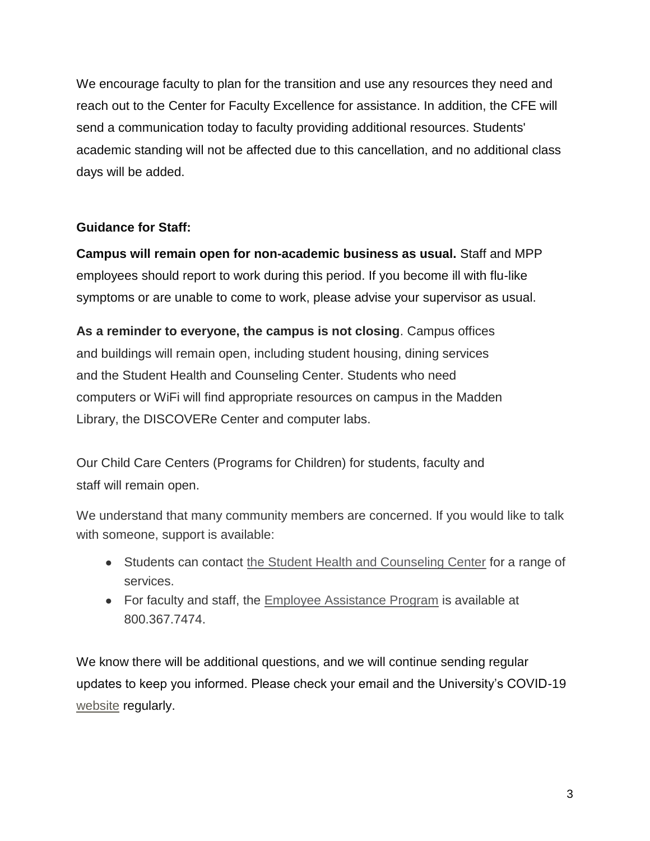We encourage faculty to plan for the transition and use any resources they need and reach out to the Center for Faculty Excellence for assistance. In addition, the CFE will send a communication today to faculty providing additional resources. Students' academic standing will not be affected due to this cancellation, and no additional class days will be added.

## **Guidance for Staff:**

**Campus will remain open for non-academic business as usual.** Staff and MPP employees should report to work during this period. If you become ill with flu-like symptoms or are unable to come to work, please advise your supervisor as usual.

**As a reminder to everyone, the campus is not closing**. Campus offices and buildings will remain open, including student housing, dining services and the Student Health and Counseling Center. Students who need computers or WiFi will find appropriate resources on campus in the Madden Library, the DISCOVERe Center and computer labs.

Our Child Care Centers (Programs for Children) for students, faculty and staff will remain open.

We understand that many community members are concerned. If you would like to talk with someone, support is available:

- Students can contact [the Student Health and Counseling Center](http://fresnostate.edu/studentaffairs/health/index.html) for a range of services.
- For faculty and staff, the [Employee Assistance Program](http://fresnostate.edu/adminserv/hr/eap/index.html) is available at 800.367.7474.

We know there will be additional questions, and we will continue sending regular updates to keep you informed. Please check your email and the University's COVID-1[9](http://fresnostate.edu/president/coronavirus/index.html) [website](http://fresnostate.edu/president/coronavirus/index.html) regularly.